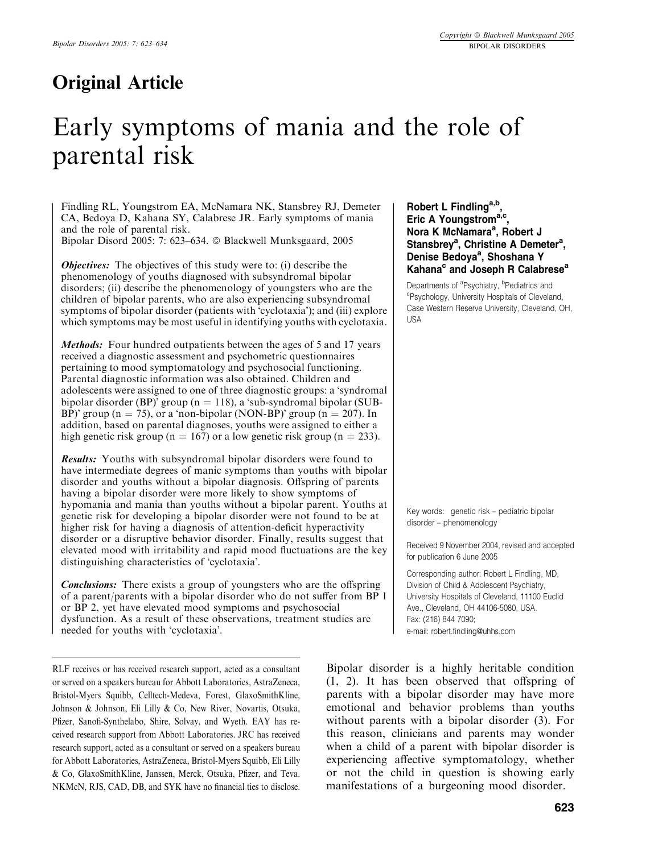# Original Article

# Early symptoms of mania and the role of parental risk

Findling RL, Youngstrom EA, McNamara NK, Stansbrey RJ, Demeter CA, Bedoya D, Kahana SY, Calabrese JR. Early symptoms of mania and the role of parental risk.

Bipolar Disord 2005: 7: 623–634.  $\odot$  Blackwell Munksgaard, 2005

**Objectives:** The objectives of this study were to: (i) describe the phenomenology of youths diagnosed with subsyndromal bipolar disorders; (ii) describe the phenomenology of youngsters who are the children of bipolar parents, who are also experiencing subsyndromal symptoms of bipolar disorder (patients with 'cyclotaxia'); and (iii) explore which symptoms may be most useful in identifying youths with cyclotaxia.

Methods: Four hundred outpatients between the ages of 5 and 17 years received a diagnostic assessment and psychometric questionnaires pertaining to mood symptomatology and psychosocial functioning. Parental diagnostic information was also obtained. Children and adolescents were assigned to one of three diagnostic groups: a 'syndromal bipolar disorder (BP)' group ( $n = 118$ ), a 'sub-syndromal bipolar (SUB-BP)' group ( $n = 75$ ), or a 'non-bipolar (NON-BP)' group ( $n = 207$ ). In addition, based on parental diagnoses, youths were assigned to either a high genetic risk group ( $n = 167$ ) or a low genetic risk group ( $n = 233$ ).

Results: Youths with subsyndromal bipolar disorders were found to have intermediate degrees of manic symptoms than youths with bipolar disorder and youths without a bipolar diagnosis. Offspring of parents having a bipolar disorder were more likely to show symptoms of hypomania and mania than youths without a bipolar parent. Youths at genetic risk for developing a bipolar disorder were not found to be at higher risk for having a diagnosis of attention-deficit hyperactivity disorder or a disruptive behavior disorder. Finally, results suggest that elevated mood with irritability and rapid mood fluctuations are the key distinguishing characteristics of 'cyclotaxia'.

Conclusions: There exists a group of youngsters who are the offspring of a parent/parents with a bipolar disorder who do not suffer from BP 1 or BP 2, yet have elevated mood symptoms and psychosocial dysfunction. As a result of these observations, treatment studies are needed for youths with 'cyclotaxia'.

RLF receives or has received research support, acted as a consultant or served on a speakers bureau for Abbott Laboratories, AstraZeneca, Bristol-Myers Squibb, Celltech-Medeva, Forest, GlaxoSmithKline, Johnson & Johnson, Eli Lilly & Co, New River, Novartis, Otsuka, Pfizer, Sanofi-Synthelabo, Shire, Solvay, and Wyeth. EAY has received research support from Abbott Laboratories. JRC has received research support, acted as a consultant or served on a speakers bureau for Abbott Laboratories, AstraZeneca, Bristol-Myers Squibb, Eli Lilly & Co, GlaxoSmithKline, Janssen, Merck, Otsuka, Pfizer, and Teva. NKMcN, RJS, CAD, DB, and SYK have no financial ties to disclose.

Robert L Findling<sup>a,b</sup>, Eric A Youngstrom<sup>a,c</sup>, Nora K McNamara<sup>a</sup>, Robert J Stansbrey<sup>a</sup>, Christine A Demeter<sup>a</sup>, Denise Bedoya<sup>a</sup>, Shoshana Y Kahana<sup>c</sup> and Joseph R Calabrese<sup>a</sup>

Departments of <sup>a</sup>Psychiatry, <sup>b</sup>Pediatrics and c Psychology, University Hospitals of Cleveland, Case Western Reserve University, Cleveland, OH, USA

Key words: genetic risk – pediatric bipolar disorder – phenomenology

Received 9 November 2004, revised and accepted for publication 6 June 2005

Corresponding author: Robert L Findling, MD, Division of Child & Adolescent Psychiatry, University Hospitals of Cleveland, 11100 Euclid Ave., Cleveland, OH 44106-5080, USA. Fax: (216) 844 7090; e-mail: robert.findling@uhhs.com

Bipolar disorder is a highly heritable condition (1, 2). It has been observed that offspring of parents with a bipolar disorder may have more emotional and behavior problems than youths without parents with a bipolar disorder (3). For this reason, clinicians and parents may wonder when a child of a parent with bipolar disorder is experiencing affective symptomatology, whether or not the child in question is showing early manifestations of a burgeoning mood disorder.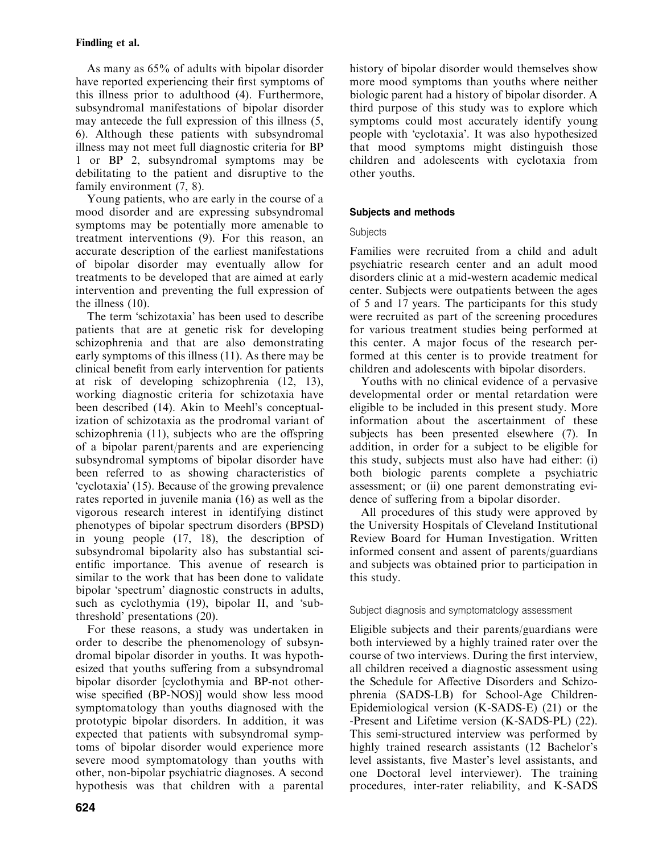#### Findling et al.

As many as 65% of adults with bipolar disorder have reported experiencing their first symptoms of this illness prior to adulthood (4). Furthermore, subsyndromal manifestations of bipolar disorder may antecede the full expression of this illness (5, 6). Although these patients with subsyndromal illness may not meet full diagnostic criteria for BP 1 or BP 2, subsyndromal symptoms may be debilitating to the patient and disruptive to the family environment (7, 8).

Young patients, who are early in the course of a mood disorder and are expressing subsyndromal symptoms may be potentially more amenable to treatment interventions (9). For this reason, an accurate description of the earliest manifestations of bipolar disorder may eventually allow for treatments to be developed that are aimed at early intervention and preventing the full expression of the illness (10).

The term 'schizotaxia' has been used to describe patients that are at genetic risk for developing schizophrenia and that are also demonstrating early symptoms of this illness (11). As there may be clinical benefit from early intervention for patients at risk of developing schizophrenia (12, 13), working diagnostic criteria for schizotaxia have been described (14). Akin to Meehl's conceptualization of schizotaxia as the prodromal variant of schizophrenia (11), subjects who are the offspring of a bipolar parent/parents and are experiencing subsyndromal symptoms of bipolar disorder have been referred to as showing characteristics of 'cyclotaxia' (15). Because of the growing prevalence rates reported in juvenile mania (16) as well as the vigorous research interest in identifying distinct phenotypes of bipolar spectrum disorders (BPSD) in young people (17, 18), the description of subsyndromal bipolarity also has substantial scientific importance. This avenue of research is similar to the work that has been done to validate bipolar 'spectrum' diagnostic constructs in adults, such as cyclothymia  $(19)$ , bipolar II, and 'subthreshold' presentations (20).

For these reasons, a study was undertaken in order to describe the phenomenology of subsyndromal bipolar disorder in youths. It was hypothesized that youths suffering from a subsyndromal bipolar disorder [cyclothymia and BP-not otherwise specified (BP-NOS)] would show less mood symptomatology than youths diagnosed with the prototypic bipolar disorders. In addition, it was expected that patients with subsyndromal symptoms of bipolar disorder would experience more severe mood symptomatology than youths with other, non-bipolar psychiatric diagnoses. A second hypothesis was that children with a parental history of bipolar disorder would themselves show more mood symptoms than youths where neither biologic parent had a history of bipolar disorder. A third purpose of this study was to explore which symptoms could most accurately identify young people with 'cyclotaxia'. It was also hypothesized that mood symptoms might distinguish those children and adolescents with cyclotaxia from other youths.

#### Subjects and methods

#### **Subjects**

Families were recruited from a child and adult psychiatric research center and an adult mood disorders clinic at a mid-western academic medical center. Subjects were outpatients between the ages of 5 and 17 years. The participants for this study were recruited as part of the screening procedures for various treatment studies being performed at this center. A major focus of the research performed at this center is to provide treatment for children and adolescents with bipolar disorders.

Youths with no clinical evidence of a pervasive developmental order or mental retardation were eligible to be included in this present study. More information about the ascertainment of these subjects has been presented elsewhere (7). In addition, in order for a subject to be eligible for this study, subjects must also have had either: (i) both biologic parents complete a psychiatric assessment; or (ii) one parent demonstrating evidence of suffering from a bipolar disorder.

All procedures of this study were approved by the University Hospitals of Cleveland Institutional Review Board for Human Investigation. Written informed consent and assent of parents/guardians and subjects was obtained prior to participation in this study.

#### Subject diagnosis and symptomatology assessment

Eligible subjects and their parents/guardians were both interviewed by a highly trained rater over the course of two interviews. During the first interview, all children received a diagnostic assessment using the Schedule for Affective Disorders and Schizophrenia (SADS-LB) for School-Age Children-Epidemiological version (K-SADS-E) (21) or the -Present and Lifetime version (K-SADS-PL) (22). This semi-structured interview was performed by highly trained research assistants (12 Bachelor's level assistants, five Master's level assistants, and one Doctoral level interviewer). The training procedures, inter-rater reliability, and K-SADS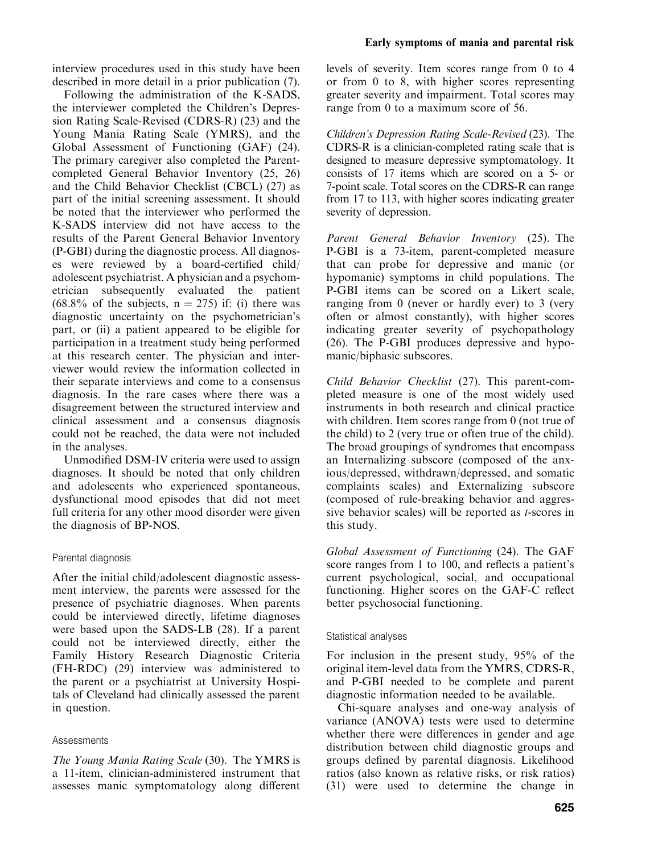interview procedures used in this study have been described in more detail in a prior publication (7).

Following the administration of the K-SADS, the interviewer completed the Children's Depression Rating Scale-Revised (CDRS-R) (23) and the Young Mania Rating Scale (YMRS), and the Global Assessment of Functioning (GAF) (24). The primary caregiver also completed the Parentcompleted General Behavior Inventory (25, 26) and the Child Behavior Checklist (CBCL) (27) as part of the initial screening assessment. It should be noted that the interviewer who performed the K-SADS interview did not have access to the results of the Parent General Behavior Inventory (P-GBI) during the diagnostic process. All diagnoses were reviewed by a board-certified child/ adolescent psychiatrist. A physician and a psychometrician subsequently evaluated the patient  $(68.8\% \text{ of the subjects, } n = 275) \text{ if: (i) there was}$ diagnostic uncertainty on the psychometrician's part, or (ii) a patient appeared to be eligible for participation in a treatment study being performed at this research center. The physician and interviewer would review the information collected in their separate interviews and come to a consensus diagnosis. In the rare cases where there was a disagreement between the structured interview and clinical assessment and a consensus diagnosis could not be reached, the data were not included in the analyses.

Unmodified DSM-IV criteria were used to assign diagnoses. It should be noted that only children and adolescents who experienced spontaneous, dysfunctional mood episodes that did not meet full criteria for any other mood disorder were given the diagnosis of BP-NOS.

#### Parental diagnosis

After the initial child/adolescent diagnostic assessment interview, the parents were assessed for the presence of psychiatric diagnoses. When parents could be interviewed directly, lifetime diagnoses were based upon the SADS-LB (28). If a parent could not be interviewed directly, either the Family History Research Diagnostic Criteria (FH-RDC) (29) interview was administered to the parent or a psychiatrist at University Hospitals of Cleveland had clinically assessed the parent in question.

#### **Assessments**

The Young Mania Rating Scale (30). The YMRS is a 11-item, clinician-administered instrument that assesses manic symptomatology along different levels of severity. Item scores range from 0 to 4 or from 0 to 8, with higher scores representing greater severity and impairment. Total scores may range from 0 to a maximum score of 56.

Children's Depression Rating Scale-Revised (23). The CDRS-R is a clinician-completed rating scale that is designed to measure depressive symptomatology. It consists of 17 items which are scored on a 5- or 7-point scale. Total scores on the CDRS-R can range from 17 to 113, with higher scores indicating greater severity of depression.

Parent General Behavior Inventory (25). The P-GBI is a 73-item, parent-completed measure that can probe for depressive and manic (or hypomanic) symptoms in child populations. The P-GBI items can be scored on a Likert scale, ranging from 0 (never or hardly ever) to 3 (very often or almost constantly), with higher scores indicating greater severity of psychopathology (26). The P-GBI produces depressive and hypomanic/biphasic subscores.

Child Behavior Checklist (27). This parent-completed measure is one of the most widely used instruments in both research and clinical practice with children. Item scores range from 0 (not true of the child) to 2 (very true or often true of the child). The broad groupings of syndromes that encompass an Internalizing subscore (composed of the anxious/depressed, withdrawn/depressed, and somatic complaints scales) and Externalizing subscore (composed of rule-breaking behavior and aggressive behavior scales) will be reported as *t*-scores in this study.

Global Assessment of Functioning (24). The GAF score ranges from 1 to 100, and reflects a patient's current psychological, social, and occupational functioning. Higher scores on the GAF-C reflect better psychosocial functioning.

#### Statistical analyses

For inclusion in the present study, 95% of the original item-level data from the YMRS, CDRS-R, and P-GBI needed to be complete and parent diagnostic information needed to be available.

Chi-square analyses and one-way analysis of variance (ANOVA) tests were used to determine whether there were differences in gender and age distribution between child diagnostic groups and groups defined by parental diagnosis. Likelihood ratios (also known as relative risks, or risk ratios) (31) were used to determine the change in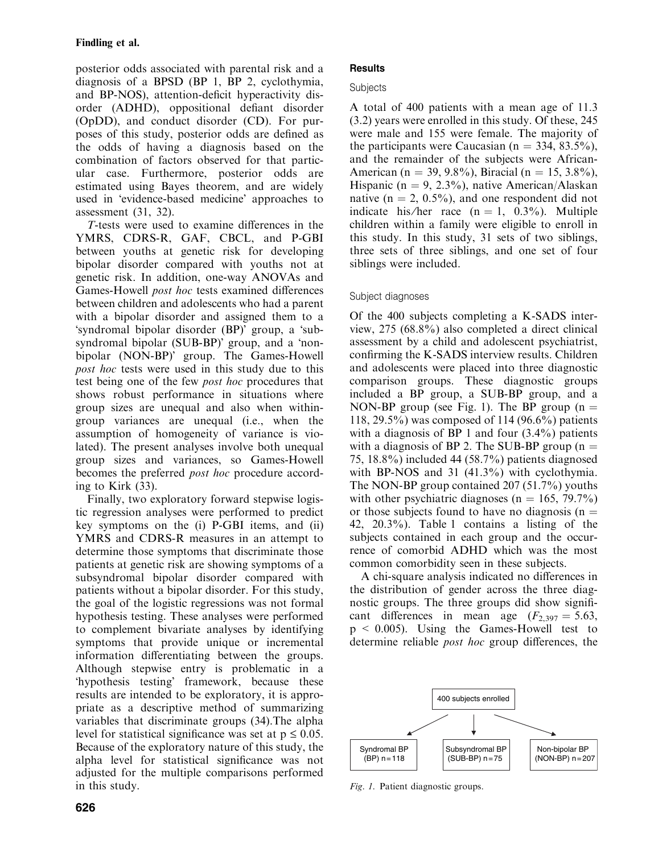posterior odds associated with parental risk and a diagnosis of a BPSD (BP 1, BP 2, cyclothymia, and BP-NOS), attention-deficit hyperactivity disorder (ADHD), oppositional defiant disorder (OpDD), and conduct disorder (CD). For purposes of this study, posterior odds are defined as the odds of having a diagnosis based on the combination of factors observed for that particular case. Furthermore, posterior odds are estimated using Bayes theorem, and are widely used in 'evidence-based medicine' approaches to assessment (31, 32).

T-tests were used to examine differences in the YMRS, CDRS-R, GAF, CBCL, and P-GBI between youths at genetic risk for developing bipolar disorder compared with youths not at genetic risk. In addition, one-way ANOVAs and Games-Howell post hoc tests examined differences between children and adolescents who had a parent with a bipolar disorder and assigned them to a 'syndromal bipolar disorder (BP)' group, a 'subsyndromal bipolar (SUB-BP)' group, and a 'nonbipolar (NON-BP)' group. The Games-Howell post hoc tests were used in this study due to this test being one of the few post hoc procedures that shows robust performance in situations where group sizes are unequal and also when withingroup variances are unequal (i.e., when the assumption of homogeneity of variance is violated). The present analyses involve both unequal group sizes and variances, so Games-Howell becomes the preferred post hoc procedure according to Kirk (33).

Finally, two exploratory forward stepwise logistic regression analyses were performed to predict key symptoms on the (i) P-GBI items, and (ii) YMRS and CDRS-R measures in an attempt to determine those symptoms that discriminate those patients at genetic risk are showing symptoms of a subsyndromal bipolar disorder compared with patients without a bipolar disorder. For this study, the goal of the logistic regressions was not formal hypothesis testing. These analyses were performed to complement bivariate analyses by identifying symptoms that provide unique or incremental information differentiating between the groups. Although stepwise entry is problematic in a 'hypothesis testing' framework, because these results are intended to be exploratory, it is appropriate as a descriptive method of summarizing variables that discriminate groups (34).The alpha level for statistical significance was set at  $p \le 0.05$ . Because of the exploratory nature of this study, the alpha level for statistical significance was not adjusted for the multiple comparisons performed in this study.

### **Subjects**

A total of 400 patients with a mean age of 11.3 (3.2) years were enrolled in this study. Of these, 245 were male and 155 were female. The majority of the participants were Caucasian ( $n = 334, 83.5\%$ ), and the remainder of the subjects were African-American (n = 39, 9.8%), Biracial (n = 15, 3.8%), Hispanic ( $n = 9, 2.3\%$ ), native American/Alaskan native ( $n = 2$ , 0.5%), and one respondent did not indicate his/her race  $(n = 1, 0.3\%)$ . Multiple children within a family were eligible to enroll in this study. In this study, 31 sets of two siblings, three sets of three siblings, and one set of four siblings were included.

## Subject diagnoses

Of the 400 subjects completing a K-SADS interview, 275 (68.8%) also completed a direct clinical assessment by a child and adolescent psychiatrist, confirming the K-SADS interview results. Children and adolescents were placed into three diagnostic comparison groups. These diagnostic groups included a BP group, a SUB-BP group, and a NON-BP group (see Fig. 1). The BP group ( $n =$ 118, 29.5%) was composed of 114 (96.6%) patients with a diagnosis of BP 1 and four  $(3.4\%)$  patients with a diagnosis of BP 2. The SUB-BP group  $(n =$ 75, 18.8%) included 44 (58.7%) patients diagnosed with BP-NOS and 31 (41.3%) with cyclothymia. The NON-BP group contained 207 (51.7%) youths with other psychiatric diagnoses ( $n = 165, 79.7\%$ ) or those subjects found to have no diagnosis ( $n =$ 42, 20.3%). Table 1 contains a listing of the subjects contained in each group and the occurrence of comorbid ADHD which was the most common comorbidity seen in these subjects.

A chi-square analysis indicated no differences in the distribution of gender across the three diagnostic groups. The three groups did show significant differences in mean age  $(F_{2,397} = 5.63,$  $p \le 0.005$ ). Using the Games-Howell test to determine reliable post hoc group differences, the



Fig. 1. Patient diagnostic groups.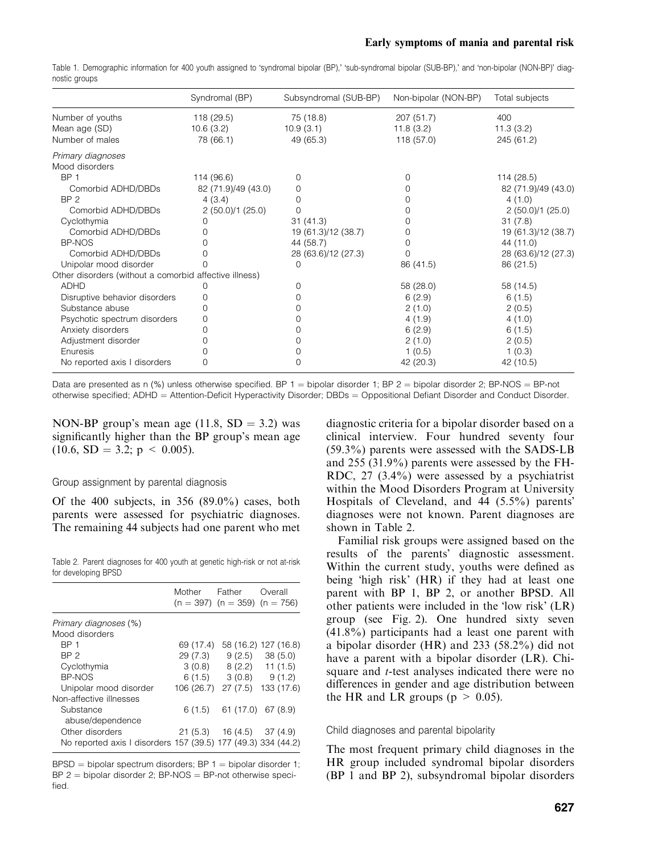#### Early symptoms of mania and parental risk

|                                                        | Syndromal (BP)                       | Subsyndromal (SUB-BP)               | Non-bipolar (NON-BP)                 | Total subjects                 |
|--------------------------------------------------------|--------------------------------------|-------------------------------------|--------------------------------------|--------------------------------|
| Number of youths<br>Mean age (SD)<br>Number of males   | 118 (29.5)<br>10.6(3.2)<br>78 (66.1) | 75 (18.8)<br>10.9(3.1)<br>49 (65.3) | 207(51.7)<br>11.8(3.2)<br>118 (57.0) | 400<br>11.3(3.2)<br>245 (61.2) |
| Primary diagnoses<br>Mood disorders                    |                                      |                                     |                                      |                                |
| BP <sub>1</sub>                                        | 114 (96.6)                           | 0                                   | 0                                    | 114(28.5)                      |
| Comorbid ADHD/DBDs                                     | 82 (71.9)/49 (43.0)                  | 0                                   | O                                    | 82 (71.9)/49 (43.0)            |
| BP <sub>2</sub>                                        | 4(3.4)                               | 0                                   | Ω                                    | 4(1.0)                         |
| Comorbid ADHD/DBDs                                     | 2(50.0)/1(25.0)                      | 0                                   | 0                                    | 2(50.0)/1(25.0)                |
| Cyclothymia                                            |                                      | 31(41.3)                            |                                      | 31(7.8)                        |
| Comorbid ADHD/DBDs                                     |                                      | 19 (61.3)/12 (38.7)                 |                                      | 19 (61.3)/12 (38.7)            |
| <b>BP-NOS</b>                                          |                                      | 44 (58.7)                           | O                                    | 44 (11.0)                      |
| Comorbid ADHD/DBDs                                     |                                      | 28 (63.6)/12 (27.3)                 | O                                    | 28 (63.6)/12 (27.3)            |
| Unipolar mood disorder                                 |                                      | $\Omega$                            | 86 (41.5)                            | 86 (21.5)                      |
| Other disorders (without a comorbid affective illness) |                                      |                                     |                                      |                                |
| <b>ADHD</b>                                            |                                      | O                                   | 58 (28.0)                            | 58 (14.5)                      |
| Disruptive behavior disorders                          | O                                    | O                                   | 6(2.9)                               | 6(1.5)                         |
| Substance abuse                                        | O                                    | O                                   | 2(1.0)                               | 2(0.5)                         |
| Psychotic spectrum disorders                           | 0                                    | O                                   | 4(1.9)                               | 4(1.0)                         |
| Anxiety disorders                                      |                                      |                                     | 6(2.9)                               | 6(1.5)                         |
| Adjustment disorder                                    |                                      |                                     | 2(1.0)                               | 2(0.5)                         |
| Enuresis                                               |                                      | O                                   | 1(0.5)                               | 1(0.3)                         |
| No reported axis I disorders                           | Ω                                    | O                                   | 42 (20.3)                            | 42 (10.5)                      |

Table 1. Demographic information for 400 youth assigned to 'syndromal bipolar (BP),' 'sub-syndromal bipolar (SUB-BP),' and 'non-bipolar (NON-BP)' diagnostic groups

Data are presented as n (%) unless otherwise specified. BP  $1 =$  bipolar disorder 1; BP  $2 =$  bipolar disorder 2; BP-NOS = BP-not otherwise specified; ADHD = Attention-Deficit Hyperactivity Disorder; DBDs = Oppositional Defiant Disorder and Conduct Disorder.

NON-BP group's mean age  $(11.8, SD = 3.2)$  was significantly higher than the BP group's mean age  $(10.6, SD = 3.2; p < 0.005).$ 

#### Group assignment by parental diagnosis

Of the 400 subjects, in 356 (89.0%) cases, both parents were assessed for psychiatric diagnoses. The remaining 44 subjects had one parent who met

Table 2. Parent diagnoses for 400 youth at genetic high-risk or not at-risk for developing BPSD

|                                                               | Mother               | Father<br>$(n = 397)$ $(n = 359)$ $(n = 756)$ | Overall              |
|---------------------------------------------------------------|----------------------|-----------------------------------------------|----------------------|
| Primary diagnoses (%)                                         |                      |                                               |                      |
| Mood disorders                                                |                      |                                               |                      |
| RP 1                                                          | 69 (17.4)            |                                               | 58 (16.2) 127 (16.8) |
| BP 2                                                          |                      | 29 (7.3) 9 (2.5)                              | 38(5.0)              |
| Cyclothymia                                                   |                      | $3(0.8)$ $8(2.2)$ 11(1.5)                     |                      |
| BP-NOS                                                        |                      | $6(1.5)$ $3(0.8)$ $9(1.2)$                    |                      |
| Unipolar mood disorder                                        | $106(26.7)$ 27 (7.5) |                                               | 133 (17.6)           |
| Non-affective illnesses                                       |                      |                                               |                      |
| Substance                                                     | 6 (1.5)              |                                               | $61(17.0)$ 67 (8.9)  |
| abuse/dependence                                              |                      |                                               |                      |
| Other disorders                                               |                      | $21(5.3)$ $16(4.5)$ $37(4.9)$                 |                      |
| No reported axis I disorders 157 (39.5) 177 (49.3) 334 (44.2) |                      |                                               |                      |

 $BPSD =$  bipolar spectrum disorders; BP 1 = bipolar disorder 1;  $BP$  2 = bipolar disorder 2;  $BP\text{-}NOS = BP\text{-}not$  otherwise specified.

diagnostic criteria for a bipolar disorder based on a clinical interview. Four hundred seventy four (59.3%) parents were assessed with the SADS-LB and 255 (31.9%) parents were assessed by the FH-RDC, 27 (3.4%) were assessed by a psychiatrist within the Mood Disorders Program at University Hospitals of Cleveland, and 44 (5.5%) parents' diagnoses were not known. Parent diagnoses are shown in Table 2.

Familial risk groups were assigned based on the results of the parents' diagnostic assessment. Within the current study, youths were defined as being 'high risk' (HR) if they had at least one parent with BP 1, BP 2, or another BPSD. All other patients were included in the 'low risk' (LR) group (see Fig. 2). One hundred sixty seven (41.8%) participants had a least one parent with a bipolar disorder (HR) and 233 (58.2%) did not have a parent with a bipolar disorder (LR). Chisquare and t-test analyses indicated there were no differences in gender and age distribution between the HR and LR groups ( $p > 0.05$ ).

#### Child diagnoses and parental bipolarity

The most frequent primary child diagnoses in the HR group included syndromal bipolar disorders (BP 1 and BP 2), subsyndromal bipolar disorders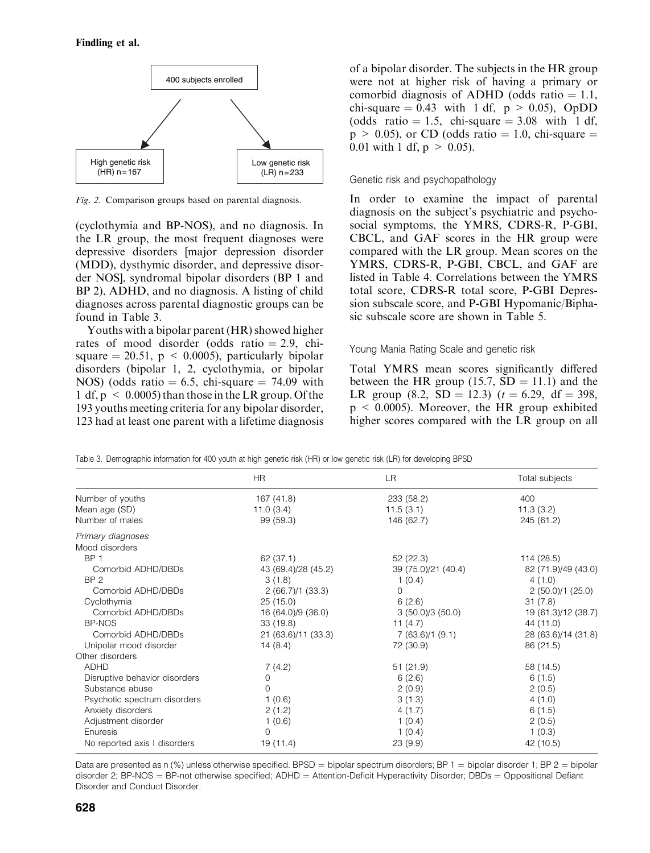

Fig. 2. Comparison groups based on parental diagnosis.

(cyclothymia and BP-NOS), and no diagnosis. In the LR group, the most frequent diagnoses were depressive disorders [major depression disorder (MDD), dysthymic disorder, and depressive disorder NOS], syndromal bipolar disorders (BP 1 and BP 2), ADHD, and no diagnosis. A listing of child diagnoses across parental diagnostic groups can be found in Table 3.

Youths with a bipolar parent (HR) showed higher rates of mood disorder (odds ratio  $= 2.9$ , chisquare  $= 20.51$ , p < 0.0005), particularly bipolar disorders (bipolar 1, 2, cyclothymia, or bipolar NOS) (odds ratio  $= 6.5$ , chi-square  $= 74.09$  with 1 df,  $p \le 0.0005$  than those in the LR group. Of the 193 youths meeting criteria for any bipolar disorder, 123 had at least one parent with a lifetime diagnosis

of a bipolar disorder. The subjects in the HR group were not at higher risk of having a primary or comorbid diagnosis of ADHD (odds ratio  $= 1.1$ , chi-square  $= 0.43$  with 1 df, p  $> 0.05$ ), OpDD (odds ratio  $= 1.5$ , chi-square  $= 3.08$  with 1 df,  $p > 0.05$ ), or CD (odds ratio = 1.0, chi-square = 0.01 with 1 df,  $p > 0.05$ ).

#### Genetic risk and psychopathology

In order to examine the impact of parental diagnosis on the subject's psychiatric and psychosocial symptoms, the YMRS, CDRS-R, P-GBI, CBCL, and GAF scores in the HR group were compared with the LR group. Mean scores on the YMRS, CDRS-R, P-GBI, CBCL, and GAF are listed in Table 4. Correlations between the YMRS total score, CDRS-R total score, P-GBI Depression subscale score, and P-GBI Hypomanic/Biphasic subscale score are shown in Table 5.

#### Young Mania Rating Scale and genetic risk

Total YMRS mean scores significantly differed between the HR group (15.7,  $SD = 11.1$ ) and the LR group  $(8.2, SD = 12.3)$   $(t = 6.29, df = 398$ .  $p \leq 0.0005$ ). Moreover, the HR group exhibited higher scores compared with the LR group on all

Table 3. Demographic information for 400 youth at high genetic risk (HR) or low genetic risk (LR) for developing BPSD

|                                     | <b>HR</b>           | LR.                 | Total subjects      |
|-------------------------------------|---------------------|---------------------|---------------------|
| Number of youths                    | 167 (41.8)          | 233 (58.2)          | 400                 |
| Mean age (SD)                       | 11.0(3.4)           | 11.5(3.1)           | 11.3(3.2)           |
| Number of males                     | 99 (59.3)           | 146 (62.7)          | 245 (61.2)          |
| Primary diagnoses<br>Mood disorders |                     |                     |                     |
| BP <sub>1</sub>                     | 62(37.1)            | 52(22.3)            | 114 (28.5)          |
| Comorbid ADHD/DBDs                  | 43 (69.4)/28 (45.2) | 39 (75.0)/21 (40.4) | 82 (71.9)/49 (43.0) |
| BP <sub>2</sub>                     | 3(1.8)              | 1(0.4)              | 4(1.0)              |
| Comorbid ADHD/DBDs                  | 2(66.7)/1(33.3)     | $\mathbf 0$         | 2(50.0)/1(25.0)     |
| Cyclothymia                         | 25(15.0)            | 6(2.6)              | 31(7.8)             |
| Comorbid ADHD/DBDs                  | 16 (64.0)/9 (36.0)  | 3(50.0)/3(50.0)     | 19 (61.3)/12 (38.7) |
| BP-NOS                              | 33(19.8)            | 11 $(4.7)$          | 44 (11.0)           |
| Comorbid ADHD/DBDs                  | 21 (63.6)/11 (33.3) | 7(63.6)/1(9.1)      | 28 (63.6)/14 (31.8) |
| Unipolar mood disorder              | 14(8.4)             | 72 (30.9)           | 86 (21.5)           |
| Other disorders                     |                     |                     |                     |
| <b>ADHD</b>                         | 7(4.2)              | 51(21.9)            | 58 (14.5)           |
| Disruptive behavior disorders       | 0                   | 6(2.6)              | 6(1.5)              |
| Substance abuse                     | $\Omega$            | 2(0.9)              | 2(0.5)              |
| Psychotic spectrum disorders        | 1(0.6)              | 3(1.3)              | 4(1.0)              |
| Anxiety disorders                   | 2(1.2)              | 4(1.7)              | 6(1.5)              |
| Adjustment disorder                 | 1(0.6)              | 1(0.4)              | 2(0.5)              |
| Enuresis                            | 0                   | 1(0.4)              | 1(0.3)              |
| No reported axis I disorders        | 19(11.4)            | 23 (9.9)            | 42 (10.5)           |

Data are presented as n (%) unless otherwise specified. BPSD = bipolar spectrum disorders; BP 1 = bipolar disorder 1; BP 2 = bipolar disorder 2; BP-NOS = BP-not otherwise specified;  $ADHD =$  Attention-Deficit Hyperactivity Disorder; DBDs = Oppositional Defiant Disorder and Conduct Disorder.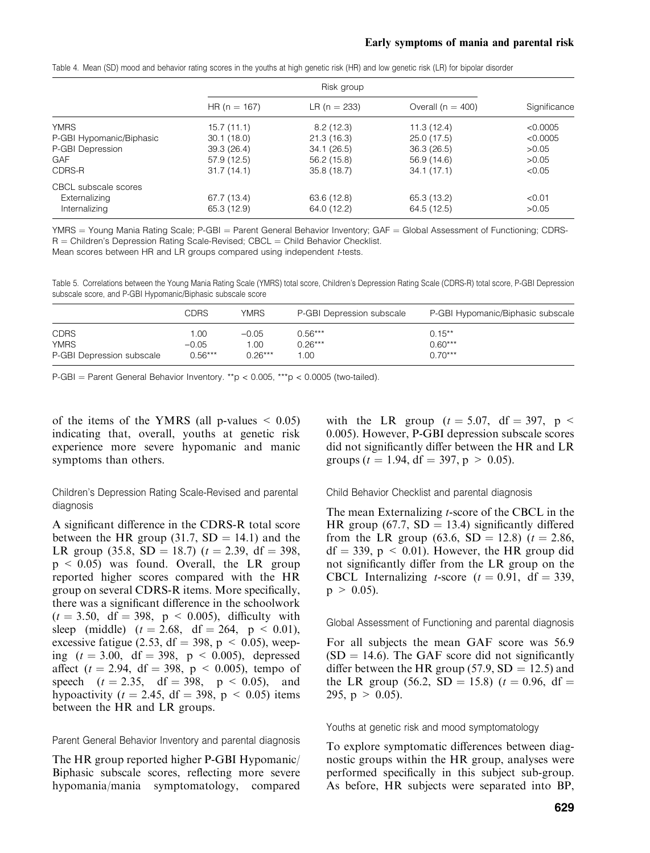|  |  |  |  |  | Table 4. Mean (SD) mood and behavior rating scores in the youths at high genetic risk (HR) and low genetic risk (LR) for bipolar disorder |  |  |  |  |  |  |  |  |
|--|--|--|--|--|-------------------------------------------------------------------------------------------------------------------------------------------|--|--|--|--|--|--|--|--|
|--|--|--|--|--|-------------------------------------------------------------------------------------------------------------------------------------------|--|--|--|--|--|--|--|--|

|                          | HR ( $n = 167$ ) | $LR (n = 233)$ | Overall ( $n = 400$ ) | Significance |
|--------------------------|------------------|----------------|-----------------------|--------------|
| <b>YMRS</b>              | 15.7(11.1)       | 8.2(12.3)      | 11.3(12.4)            | < 0.0005     |
| P-GBI Hypomanic/Biphasic | 30.1(18.0)       | 21.3(16.3)     | 25.0 (17.5)           | < 0.0005     |
| P-GBI Depression         | 39.3(26.4)       | 34.1(26.5)     | 36.3(26.5)            | >0.05        |
| GAF                      | 57.9(12.5)       | 56.2 (15.8)    | 56.9 (14.6)           | >0.05        |
| CDRS-R                   | 31.7(14.1)       | 35.8(18.7)     | 34.1(17.1)            | < 0.05       |
| CBCL subscale scores     |                  |                |                       |              |
| Externalizing            | 67.7 (13.4)      | 63.6 (12.8)    | 65.3 (13.2)           | < 0.01       |
| Internalizing            | 65.3 (12.9)      | 64.0 (12.2)    | 64.5 (12.5)           | >0.05        |

YMRS = Young Mania Rating Scale; P-GBI = Parent General Behavior Inventory; GAF = Global Assessment of Functioning; CDRS- $R =$  Children's Depression Rating Scale-Revised; CBCL = Child Behavior Checklist.

Mean scores between HR and LR groups compared using independent t-tests.

Table 5. Correlations between the Young Mania Rating Scale (YMRS) total score, Children's Depression Rating Scale (CDRS-R) total score, P-GBI Depression subscale score, and P-GBI Hypomanic/Biphasic subscale score

|                                                         | CDRS                        | <b>YMRS</b>                  | P-GBI Depression subscale      | P-GBI Hypomanic/Biphasic subscale   |
|---------------------------------------------------------|-----------------------------|------------------------------|--------------------------------|-------------------------------------|
| <b>CDRS</b><br><b>YMRS</b><br>P-GBI Depression subscale | .00<br>$-0.05$<br>$0.56***$ | $-0.05$<br>1.00<br>$0.26***$ | $0.56***$<br>$0.26***$<br>1.00 | $0.15***$<br>$0.60***$<br>$0.70***$ |
|                                                         |                             |                              |                                |                                     |

 $P-\text{GBI} = \text{Parent General Behavior Investment}$ . \*\*p < 0.005, \*\*\*p < 0.0005 (two-tailed).

of the items of the YMRS (all p-values  $\leq 0.05$ ) indicating that, overall, youths at genetic risk experience more severe hypomanic and manic symptoms than others.

Children's Depression Rating Scale-Revised and parental diagnosis

A significant difference in the CDRS-R total score between the HR group (31.7,  $SD = 14.1$ ) and the LR group (35.8,  $SD = 18.7$ ) ( $t = 2.39$ , df = 398,  $p \leq 0.05$ ) was found. Overall, the LR group reported higher scores compared with the HR group on several CDRS-R items. More specifically, there was a significant difference in the schoolwork  $(t = 3.50, df = 398, p < 0.005)$ , difficulty with sleep (middle)  $(t = 2.68, df = 264, p < 0.01)$ , excessive fatigue (2.53, df = 398, p < 0.05), weeping  $(t = 3.00, df = 398, p < 0.005)$ , depressed affect ( $t = 2.94$ , df = 398, p < 0.005), tempo of speech  $(t = 2.35, df = 398, p < 0.05)$ , and hypoactivity ( $t = 2.45$ , df = 398, p < 0.05) items between the HR and LR groups.

Parent General Behavior Inventory and parental diagnosis

The HR group reported higher P-GBI Hypomanic/ Biphasic subscale scores, reflecting more severe hypomania/mania symptomatology, compared

with the LR group  $(t = 5.07, df = 397, p <$ 0.005). However, P-GBI depression subscale scores did not significantly differ between the HR and LR groups ( $t = 1.94$ , df = 397, p > 0.05).

Child Behavior Checklist and parental diagnosis

The mean Externalizing *t*-score of the CBCL in the HR group (67.7,  $SD = 13.4$ ) significantly differed from the LR group (63.6, SD = 12.8) ( $t = 2.86$ ,  $df = 339$ ,  $p \le 0.01$ ). However, the HR group did not significantly differ from the LR group on the CBCL Internalizing *t*-score ( $t = 0.91$ , df = 339,  $p > 0.05$ ).

Global Assessment of Functioning and parental diagnosis

For all subjects the mean GAF score was 56.9  $(SD = 14.6)$ . The GAF score did not significantly differ between the HR group (57.9,  $SD = 12.5$ ) and the LR group (56.2, SD = 15.8) ( $t = 0.96$ , df = 295,  $p > 0.05$ ).

Youths at genetic risk and mood symptomatology

To explore symptomatic differences between diagnostic groups within the HR group, analyses were performed specifically in this subject sub-group. As before, HR subjects were separated into BP,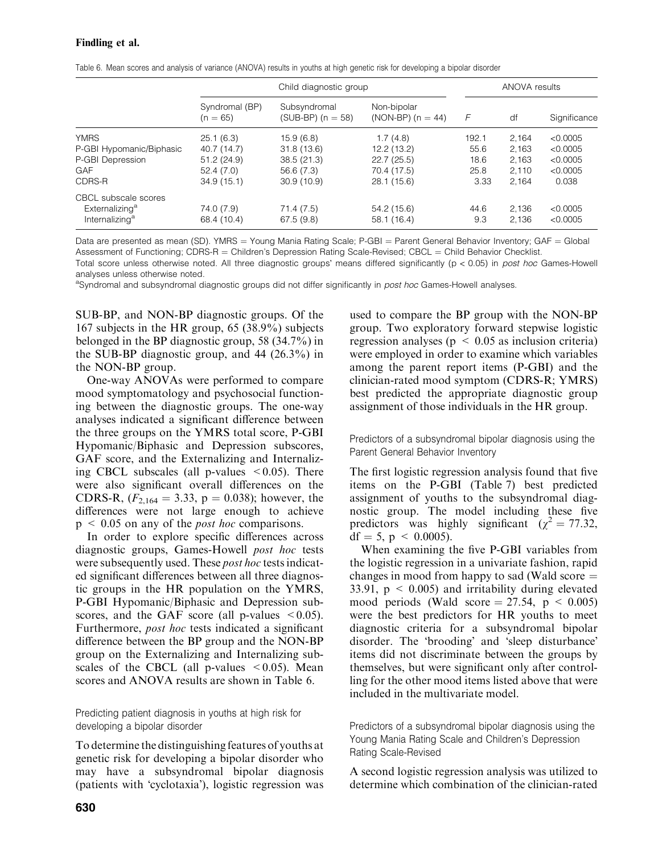|                            | Child diagnostic group       |                                     |                                    |       | ANOVA results |              |  |
|----------------------------|------------------------------|-------------------------------------|------------------------------------|-------|---------------|--------------|--|
|                            | Syndromal (BP)<br>$(n = 65)$ | Subsyndromal<br>$(SUB-BP)$ (n = 58) | Non-bipolar<br>(NON-BP) $(n = 44)$ | F     | df            | Significance |  |
| <b>YMRS</b>                | 25.1(6.3)                    | 15.9(6.8)                           | 1.7(4.8)                           | 192.1 | 2.164         | < 0.0005     |  |
| P-GBI Hypomanic/Biphasic   | 40.7 (14.7)                  | 31.8(13.6)                          | 12.2(13.2)                         | 55.6  | 2.163         | < 0.0005     |  |
| P-GBI Depression           | 51.2(24.9)                   | 38.5(21.3)                          | 22.7(25.5)                         | 18.6  | 2.163         | < 0.0005     |  |
| GAF                        | 52.4(7.0)                    | 56.6(7.3)                           | 70.4 (17.5)                        | 25.8  | 2.110         | < 0.0005     |  |
| CDRS-R                     | 34.9(15.1)                   | 30.9(10.9)                          | 28.1 (15.6)                        | 3.33  | 2.164         | 0.038        |  |
| CBCL subscale scores       |                              |                                     |                                    |       |               |              |  |
| Externalizing <sup>a</sup> | 74.0 (7.9)                   | 71.4(7.5)                           | 54.2 (15.6)                        | 44.6  | 2.136         | < 0.0005     |  |
| Internalizing <sup>a</sup> | 68.4 (10.4)                  | 67.5(9.8)                           | 58.1 (16.4)                        | 9.3   | 2.136         | < 0.0005     |  |

Table 6. Mean scores and analysis of variance (ANOVA) results in youths at high genetic risk for developing a bipolar disorder

Data are presented as mean (SD). YMRS = Young Mania Rating Scale; P-GBI = Parent General Behavior Inventory; GAF = Global Assessment of Functioning; CDRS-R = Children's Depression Rating Scale-Revised; CBCL = Child Behavior Checklist.

Total score unless otherwise noted. All three diagnostic groups' means differed significantly (p < 0.05) in *post hoc* Games-Howell analyses unless otherwise noted.

<sup>a</sup>Syndromal and subsyndromal diagnostic groups did not differ significantly in post hoc Games-Howell analyses.

SUB-BP, and NON-BP diagnostic groups. Of the 167 subjects in the HR group, 65 (38.9%) subjects belonged in the BP diagnostic group, 58 (34.7%) in the SUB-BP diagnostic group, and 44 (26.3%) in the NON-BP group.

One-way ANOVAs were performed to compare mood symptomatology and psychosocial functioning between the diagnostic groups. The one-way analyses indicated a significant difference between the three groups on the YMRS total score, P-GBI Hypomanic/Biphasic and Depression subscores, GAF score, and the Externalizing and Internalizing CBCL subscales (all p-values  $\leq 0.05$ ). There were also significant overall differences on the CDRS-R,  $(F_{2,164} = 3.33, p = 0.038)$ ; however, the differences were not large enough to achieve  $p \leq 0.05$  on any of the *post hoc* comparisons.

In order to explore specific differences across diagnostic groups, Games-Howell post hoc tests were subsequently used. These post hoc tests indicated significant differences between all three diagnostic groups in the HR population on the YMRS, P-GBI Hypomanic/Biphasic and Depression subscores, and the GAF score (all p-values  $< 0.05$ ). Furthermore, post hoc tests indicated a significant difference between the BP group and the NON-BP group on the Externalizing and Internalizing subscales of the CBCL (all p-values  $\leq 0.05$ ). Mean scores and ANOVA results are shown in Table 6.

Predicting patient diagnosis in youths at high risk for developing a bipolar disorder

To determine the distinguishing features of youths at genetic risk for developing a bipolar disorder who may have a subsyndromal bipolar diagnosis (patients with 'cyclotaxia'), logistic regression was

used to compare the BP group with the NON-BP group. Two exploratory forward stepwise logistic regression analyses ( $p < 0.05$  as inclusion criteria) were employed in order to examine which variables among the parent report items (P-GBI) and the clinician-rated mood symptom (CDRS-R; YMRS) best predicted the appropriate diagnostic group assignment of those individuals in the HR group.

Predictors of a subsyndromal bipolar diagnosis using the Parent General Behavior Inventory

The first logistic regression analysis found that five items on the P-GBI (Table 7) best predicted assignment of youths to the subsyndromal diagnostic group. The model including these five predictors was highly significant ( $\chi^2 = 77.32$ ,  $df = 5$ , p < 0.0005).

When examining the five P-GBI variables from the logistic regression in a univariate fashion, rapid changes in mood from happy to sad (Wald score  $=$ 33.91,  $p \le 0.005$  and irritability during elevated mood periods (Wald score  $= 27.54$ , p < 0.005) were the best predictors for HR youths to meet diagnostic criteria for a subsyndromal bipolar disorder. The 'brooding' and 'sleep disturbance' items did not discriminate between the groups by themselves, but were significant only after controlling for the other mood items listed above that were included in the multivariate model.

Predictors of a subsyndromal bipolar diagnosis using the Young Mania Rating Scale and Children's Depression Rating Scale-Revised

A second logistic regression analysis was utilized to determine which combination of the clinician-rated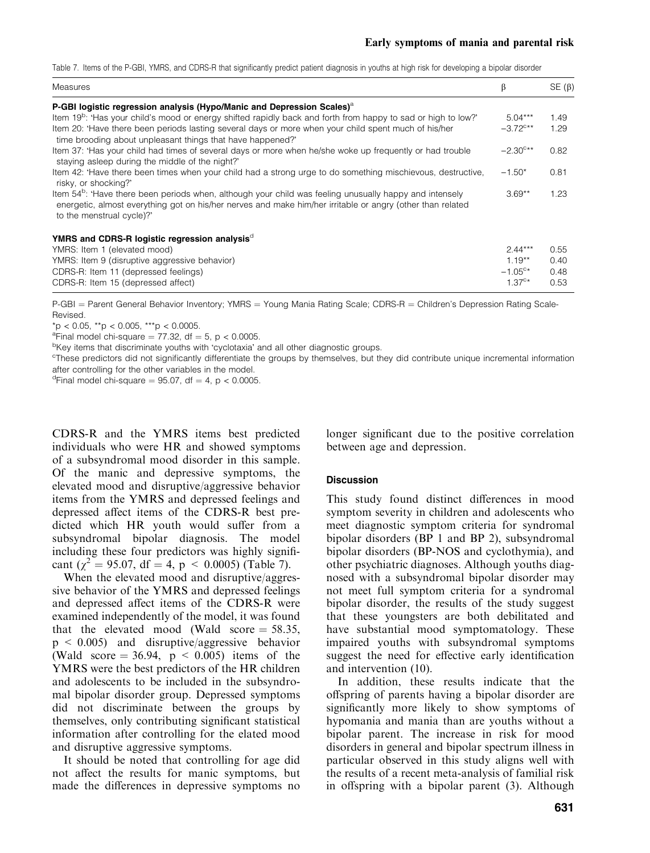Table 7. Items of the P-GBI, YMRS, and CDRS-R that significantly predict patient diagnosis in youths at high risk for developing a bipolar disorder

| Measures                                                                                                                                                                                                                                                       | β                      | $SE(\beta)$ |
|----------------------------------------------------------------------------------------------------------------------------------------------------------------------------------------------------------------------------------------------------------------|------------------------|-------------|
| P-GBI logistic regression analysis (Hypo/Manic and Depression Scales) <sup>a</sup>                                                                                                                                                                             |                        |             |
| ltem 19 <sup>b</sup> : 'Has your child's mood or energy shifted rapidly back and forth from happy to sad or high to low?'                                                                                                                                      | $5.04***$              | 1.49        |
| Item 20: 'Have there been periods lasting several days or more when your child spent much of his/her<br>time brooding about unpleasant things that have happened?                                                                                              | $-3.72$ <sup>C**</sup> | 1.29        |
| Item 37: 'Has your child had times of several days or more when he/she woke up frequently or had trouble<br>staying asleep during the middle of the night?"                                                                                                    | $-2.30^{\circ**}$      | 0.82        |
| Item 42: 'Have there been times when your child had a strong urge to do something mischievous, destructive,<br>risky, or shocking?'                                                                                                                            | $-1.50*$               | 0.81        |
| Item 54 <sup>b</sup> : 'Have there been periods when, although your child was feeling unusually happy and intensely<br>energetic, almost everything got on his/her nerves and make him/her irritable or angry (other than related<br>to the menstrual cycle)?' | $3.69**$               | 1.23        |
| YMRS and CDRS-R logistic regression analysisd                                                                                                                                                                                                                  |                        |             |
| YMRS: Item 1 (elevated mood)                                                                                                                                                                                                                                   | $2.44***$              | 0.55        |
| YMRS: Item 9 (disruptive aggressive behavior)                                                                                                                                                                                                                  | $1.19**$               | 0.40        |
| CDRS-R: Item 11 (depressed feelings)                                                                                                                                                                                                                           | $-1.05^{\circ*}$       | 0.48        |
| CDRS-R: Item 15 (depressed affect)                                                                                                                                                                                                                             | $1.37^{c*}$            | 0.53        |

P-GBI = Parent General Behavior Inventory; YMRS = Young Mania Rating Scale; CDRS-R = Children's Depression Rating Scale-Revised.

 $*p < 0.05$ ,  $*p < 0.005$ ,  $**p < 0.0005$ .

<sup>a</sup> Final model chi-square  $= 77.32$ , df  $= 5$ , p  $< 0.0005$ .

Key items that discriminate youths with 'cyclotaxia' and all other diagnostic groups.

c These predictors did not significantly differentiate the groups by themselves, but they did contribute unique incremental information after controlling for the other variables in the model.

<sup>d</sup>Final model chi-square = 95.07, df = 4,  $p < 0.0005$ .

CDRS-R and the YMRS items best predicted individuals who were HR and showed symptoms of a subsyndromal mood disorder in this sample. Of the manic and depressive symptoms, the elevated mood and disruptive/aggressive behavior items from the YMRS and depressed feelings and depressed affect items of the CDRS-R best predicted which HR youth would suffer from a subsyndromal bipolar diagnosis. The model including these four predictors was highly significant ( $\chi^2$  = 95.07, df = 4, p < 0.0005) (Table 7).

When the elevated mood and disruptive/aggressive behavior of the YMRS and depressed feelings and depressed affect items of the CDRS-R were examined independently of the model, it was found that the elevated mood (Wald score  $=$  58.35,  $p \leq 0.005$ ) and disruptive/aggressive behavior (Wald score  $= 36.94$ , p < 0.005) items of the YMRS were the best predictors of the HR children and adolescents to be included in the subsyndromal bipolar disorder group. Depressed symptoms did not discriminate between the groups by themselves, only contributing significant statistical information after controlling for the elated mood and disruptive aggressive symptoms.

It should be noted that controlling for age did not affect the results for manic symptoms, but made the differences in depressive symptoms no longer significant due to the positive correlation between age and depression.

#### **Discussion**

This study found distinct differences in mood symptom severity in children and adolescents who meet diagnostic symptom criteria for syndromal bipolar disorders (BP 1 and BP 2), subsyndromal bipolar disorders (BP-NOS and cyclothymia), and other psychiatric diagnoses. Although youths diagnosed with a subsyndromal bipolar disorder may not meet full symptom criteria for a syndromal bipolar disorder, the results of the study suggest that these youngsters are both debilitated and have substantial mood symptomatology. These impaired youths with subsyndromal symptoms suggest the need for effective early identification and intervention (10).

In addition, these results indicate that the offspring of parents having a bipolar disorder are significantly more likely to show symptoms of hypomania and mania than are youths without a bipolar parent. The increase in risk for mood disorders in general and bipolar spectrum illness in particular observed in this study aligns well with the results of a recent meta-analysis of familial risk in offspring with a bipolar parent (3). Although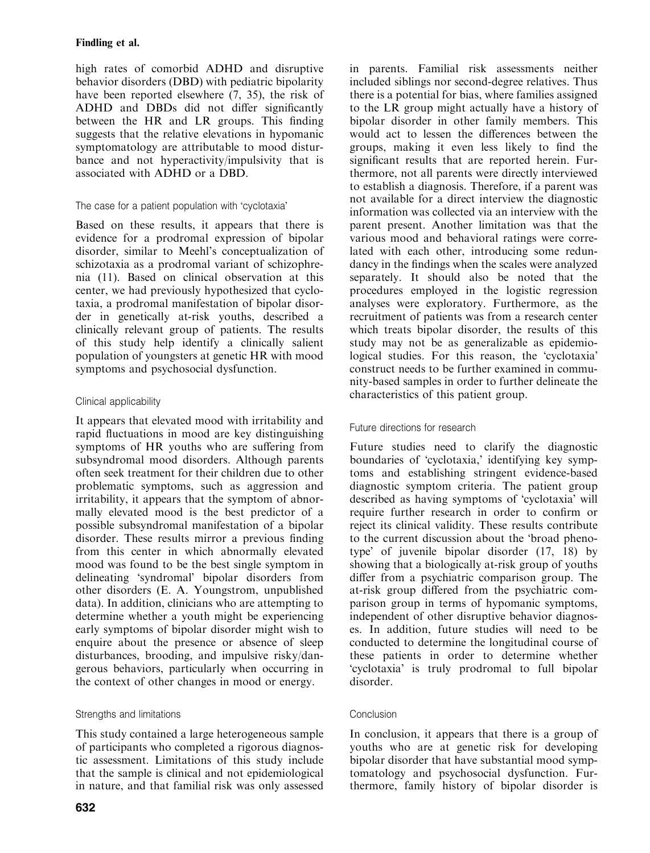#### Findling et al.

high rates of comorbid ADHD and disruptive behavior disorders (DBD) with pediatric bipolarity have been reported elsewhere (7, 35), the risk of ADHD and DBDs did not differ significantly between the HR and LR groups. This finding suggests that the relative elevations in hypomanic symptomatology are attributable to mood disturbance and not hyperactivity/impulsivity that is associated with ADHD or a DBD.

#### The case for a patient population with 'cyclotaxia'

Based on these results, it appears that there is evidence for a prodromal expression of bipolar disorder, similar to Meehl's conceptualization of schizotaxia as a prodromal variant of schizophrenia (11). Based on clinical observation at this center, we had previously hypothesized that cyclotaxia, a prodromal manifestation of bipolar disorder in genetically at-risk youths, described a clinically relevant group of patients. The results of this study help identify a clinically salient population of youngsters at genetic HR with mood symptoms and psychosocial dysfunction.

#### Clinical applicability

It appears that elevated mood with irritability and rapid fluctuations in mood are key distinguishing symptoms of HR youths who are suffering from subsyndromal mood disorders. Although parents often seek treatment for their children due to other problematic symptoms, such as aggression and irritability, it appears that the symptom of abnormally elevated mood is the best predictor of a possible subsyndromal manifestation of a bipolar disorder. These results mirror a previous finding from this center in which abnormally elevated mood was found to be the best single symptom in delineating 'syndromal' bipolar disorders from other disorders (E. A. Youngstrom, unpublished data). In addition, clinicians who are attempting to determine whether a youth might be experiencing early symptoms of bipolar disorder might wish to enquire about the presence or absence of sleep disturbances, brooding, and impulsive risky/dangerous behaviors, particularly when occurring in the context of other changes in mood or energy.

#### Strengths and limitations

This study contained a large heterogeneous sample of participants who completed a rigorous diagnostic assessment. Limitations of this study include that the sample is clinical and not epidemiological in nature, and that familial risk was only assessed

included siblings nor second-degree relatives. Thus there is a potential for bias, where families assigned to the LR group might actually have a history of bipolar disorder in other family members. This would act to lessen the differences between the groups, making it even less likely to find the significant results that are reported herein. Furthermore, not all parents were directly interviewed to establish a diagnosis. Therefore, if a parent was not available for a direct interview the diagnostic information was collected via an interview with the parent present. Another limitation was that the various mood and behavioral ratings were correlated with each other, introducing some redundancy in the findings when the scales were analyzed separately. It should also be noted that the procedures employed in the logistic regression analyses were exploratory. Furthermore, as the recruitment of patients was from a research center which treats bipolar disorder, the results of this study may not be as generalizable as epidemiological studies. For this reason, the 'cyclotaxia' construct needs to be further examined in community-based samples in order to further delineate the characteristics of this patient group.

in parents. Familial risk assessments neither

# Future directions for research

Future studies need to clarify the diagnostic boundaries of 'cyclotaxia,' identifying key symptoms and establishing stringent evidence-based diagnostic symptom criteria. The patient group described as having symptoms of 'cyclotaxia' will require further research in order to confirm or reject its clinical validity. These results contribute to the current discussion about the 'broad phenotype' of juvenile bipolar disorder (17, 18) by showing that a biologically at-risk group of youths differ from a psychiatric comparison group. The at-risk group differed from the psychiatric comparison group in terms of hypomanic symptoms, independent of other disruptive behavior diagnoses. In addition, future studies will need to be conducted to determine the longitudinal course of these patients in order to determine whether 'cyclotaxia' is truly prodromal to full bipolar disorder.

#### Conclusion

In conclusion, it appears that there is a group of youths who are at genetic risk for developing bipolar disorder that have substantial mood symptomatology and psychosocial dysfunction. Furthermore, family history of bipolar disorder is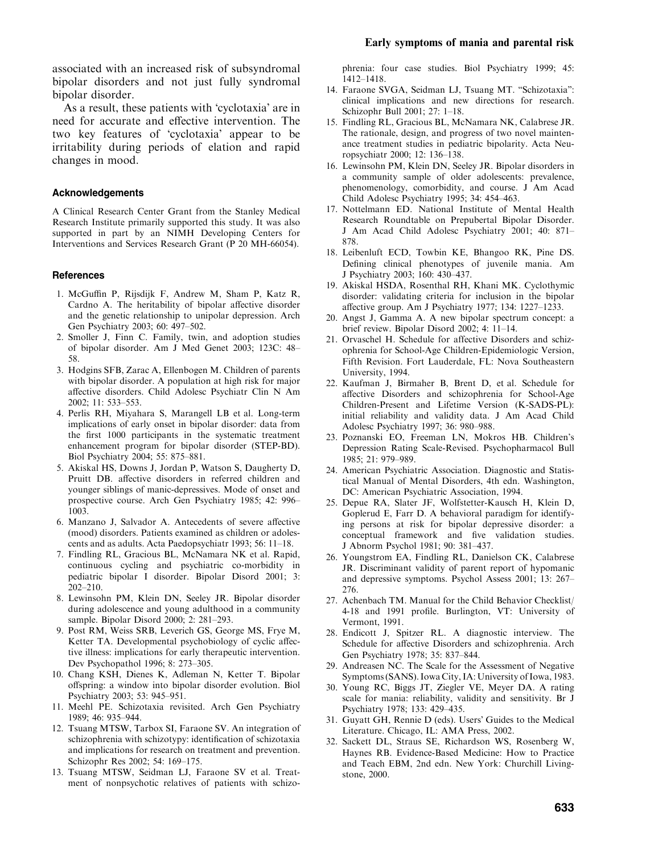associated with an increased risk of subsyndromal bipolar disorders and not just fully syndromal bipolar disorder.

As a result, these patients with 'cyclotaxia' are in need for accurate and effective intervention. The two key features of 'cyclotaxia' appear to be irritability during periods of elation and rapid changes in mood.

#### Acknowledgements

A Clinical Research Center Grant from the Stanley Medical Research Institute primarily supported this study. It was also supported in part by an NIMH Developing Centers for Interventions and Services Research Grant (P 20 MH-66054).

#### References

- 1. McGuffin P, Rijsdijk F, Andrew M, Sham P, Katz R, Cardno A. The heritability of bipolar affective disorder and the genetic relationship to unipolar depression. Arch Gen Psychiatry 2003; 60: 497–502.
- 2. Smoller J, Finn C. Family, twin, and adoption studies of bipolar disorder. Am J Med Genet 2003; 123C: 48– 58.
- 3. Hodgins SFB, Zarac A, Ellenbogen M. Children of parents with bipolar disorder. A population at high risk for major affective disorders. Child Adolesc Psychiatr Clin N Am 2002; 11: 533–553.
- 4. Perlis RH, Miyahara S, Marangell LB et al. Long-term implications of early onset in bipolar disorder: data from the first 1000 participants in the systematic treatment enhancement program for bipolar disorder (STEP-BD). Biol Psychiatry 2004; 55: 875–881.
- 5. Akiskal HS, Downs J, Jordan P, Watson S, Daugherty D, Pruitt DB. affective disorders in referred children and younger siblings of manic-depressives. Mode of onset and prospective course. Arch Gen Psychiatry 1985; 42: 996– 1003.
- 6. Manzano J, Salvador A. Antecedents of severe affective (mood) disorders. Patients examined as children or adolescents and as adults. Acta Paedopsychiatr 1993; 56: 11–18.
- 7. Findling RL, Gracious BL, McNamara NK et al. Rapid, continuous cycling and psychiatric co-morbidity in pediatric bipolar I disorder. Bipolar Disord 2001; 3: 202–210.
- 8. Lewinsohn PM, Klein DN, Seeley JR. Bipolar disorder during adolescence and young adulthood in a community sample. Bipolar Disord 2000; 2: 281–293.
- 9. Post RM, Weiss SRB, Leverich GS, George MS, Frye M, Ketter TA. Developmental psychobiology of cyclic affective illness: implications for early therapeutic intervention. Dev Psychopathol 1996; 8: 273–305.
- 10. Chang KSH, Dienes K, Adleman N, Ketter T. Bipolar offspring: a window into bipolar disorder evolution. Biol Psychiatry 2003; 53: 945–951.
- 11. Meehl PE. Schizotaxia revisited. Arch Gen Psychiatry 1989; 46: 935–944.
- 12. Tsuang MTSW, Tarbox SI, Faraone SV. An integration of schizophrenia with schizotypy: identification of schizotaxia and implications for research on treatment and prevention. Schizophr Res 2002; 54: 169–175.
- 13. Tsuang MTSW, Seidman LJ, Faraone SV et al. Treatment of nonpsychotic relatives of patients with schizo-

phrenia: four case studies. Biol Psychiatry 1999; 45: 1412–1418.

- 14. Faraone SVGA, Seidman LJ, Tsuang MT. "Schizotaxia": clinical implications and new directions for research. Schizophr Bull 2001; 27: 1–18.
- 15. Findling RL, Gracious BL, McNamara NK, Calabrese JR. The rationale, design, and progress of two novel maintenance treatment studies in pediatric bipolarity. Acta Neuropsychiatr 2000; 12: 136–138.
- 16. Lewinsohn PM, Klein DN, Seeley JR. Bipolar disorders in a community sample of older adolescents: prevalence, phenomenology, comorbidity, and course. J Am Acad Child Adolesc Psychiatry 1995; 34: 454–463.
- 17. Nottelmann ED. National Institute of Mental Health Research Roundtable on Prepubertal Bipolar Disorder. J Am Acad Child Adolesc Psychiatry 2001; 40: 871– 878.
- 18. Leibenluft ECD, Towbin KE, Bhangoo RK, Pine DS. Defining clinical phenotypes of juvenile mania. Am J Psychiatry 2003; 160: 430–437.
- 19. Akiskal HSDA, Rosenthal RH, Khani MK. Cyclothymic disorder: validating criteria for inclusion in the bipolar affective group. Am J Psychiatry 1977; 134: 1227–1233.
- 20. Angst J, Gamma A. A new bipolar spectrum concept: a brief review. Bipolar Disord 2002; 4: 11–14.
- 21. Orvaschel H. Schedule for affective Disorders and schizophrenia for School-Age Children-Epidemiologic Version, Fifth Revision. Fort Lauderdale, FL: Nova Southeastern University, 1994.
- 22. Kaufman J, Birmaher B, Brent D, et al. Schedule for affective Disorders and schizophrenia for School-Age Children-Present and Lifetime Version (K-SADS-PL): initial reliability and validity data. J Am Acad Child Adolesc Psychiatry 1997; 36: 980–988.
- 23. Poznanski EO, Freeman LN, Mokros HB. Children's Depression Rating Scale-Revised. Psychopharmacol Bull 1985; 21: 979–989.
- 24. American Psychiatric Association. Diagnostic and Statistical Manual of Mental Disorders, 4th edn. Washington, DC: American Psychiatric Association, 1994.
- 25. Depue RA, Slater JF, Wolfstetter-Kausch H, Klein D, Goplerud E, Farr D. A behavioral paradigm for identifying persons at risk for bipolar depressive disorder: a conceptual framework and five validation studies. J Abnorm Psychol 1981; 90: 381–437.
- 26. Youngstrom EA, Findling RL, Danielson CK, Calabrese JR. Discriminant validity of parent report of hypomanic and depressive symptoms. Psychol Assess 2001; 13: 267– 276.
- 27. Achenbach TM. Manual for the Child Behavior Checklist/ 4-18 and 1991 profile. Burlington, VT: University of Vermont, 1991.
- 28. Endicott J, Spitzer RL. A diagnostic interview. The Schedule for affective Disorders and schizophrenia. Arch Gen Psychiatry 1978; 35: 837–844.
- 29. Andreasen NC. The Scale for the Assessment of Negative Symptoms (SANS). Iowa City, IA: University of Iowa, 1983.
- 30. Young RC, Biggs JT, Ziegler VE, Meyer DA. A rating scale for mania: reliability, validity and sensitivity. Br J Psychiatry 1978; 133: 429–435.
- 31. Guyatt GH, Rennie D (eds). Users' Guides to the Medical Literature. Chicago, IL: AMA Press, 2002.
- 32. Sackett DL, Straus SE, Richardson WS, Rosenberg W, Haynes RB. Evidence-Based Medicine: How to Practice and Teach EBM, 2nd edn. New York: Churchill Livingstone, 2000.